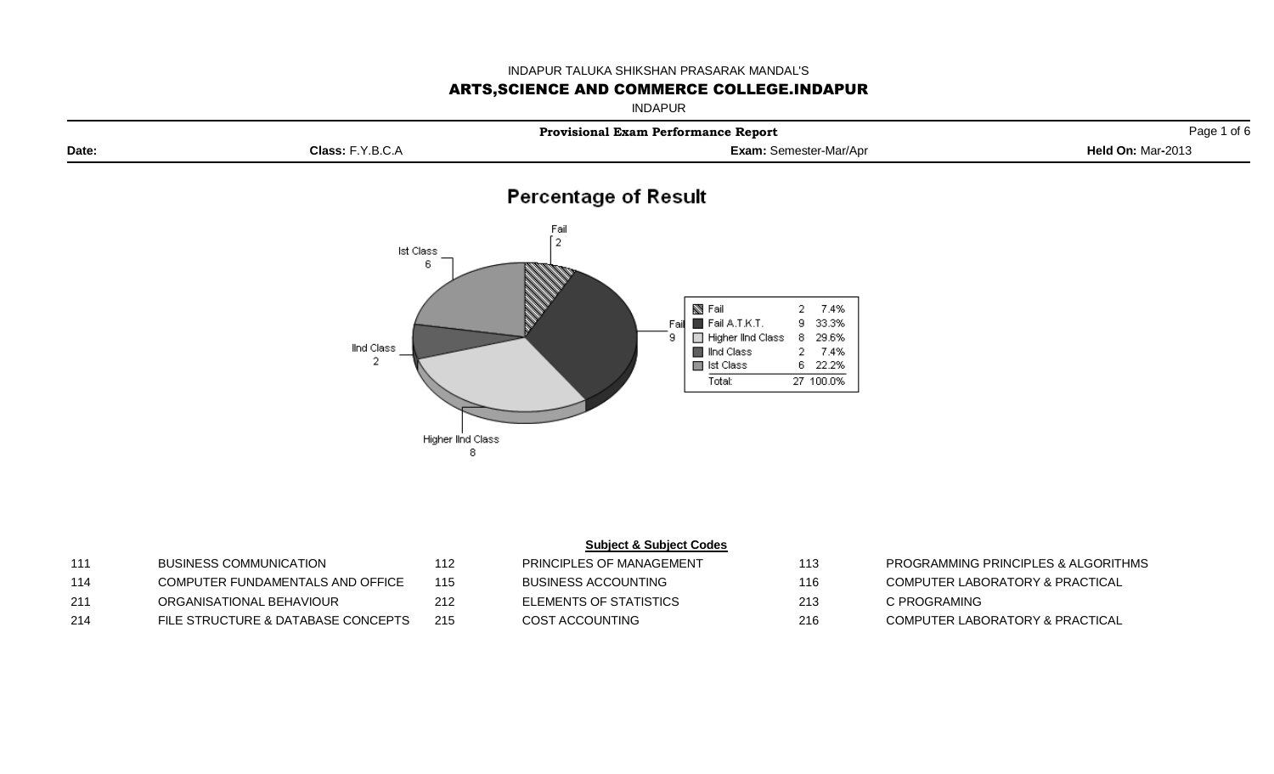## INDAPUR TALUKA SHIKSHAN PRASARAK MANDAL'S

## ARTS,SCIENCE AND COMMERCE COLLEGE.INDAPUR

INDAPUR

|       |                                                                                | <b>Provisional Exam Performance Report</b>                                                                                                                                     | Page 1 of 6       |
|-------|--------------------------------------------------------------------------------|--------------------------------------------------------------------------------------------------------------------------------------------------------------------------------|-------------------|
| Date: | Class: F.Y.B.C.A                                                               | Exam: Semester-Mar/Apr                                                                                                                                                         | Held On: Mar-2013 |
|       |                                                                                | <b>Percentage of Result</b>                                                                                                                                                    |                   |
|       | Fail<br>$r_{2}$<br>Ist Class<br>6<br>lind Class<br>2<br>Higher lind Class<br>8 | S Fail<br>2 7.4%<br>Fail A.T.K.T.<br>9 33.3%<br>Fai<br>Higher IInd Class<br>8 29.6%<br>9.<br>Ind Class<br>2 7.4%<br>$\blacksquare$ lst Class<br>6 22.2%<br>27 100.0%<br>Total: |                   |

| 111 | BUSINESS COMMUNICATION             | 112 | PRINCIPLES OF MANAGEMENT   | 113 | PROGRAMMING         |
|-----|------------------------------------|-----|----------------------------|-----|---------------------|
| 114 | COMPUTER FUNDAMENTALS AND OFFICE   | 115 | <b>BUSINESS ACCOUNTING</b> | 116 | <b>COMPUTER LAB</b> |
| 211 | ORGANISATIONAL BEHAVIOUR           | 212 | ELEMENTS OF STATISTICS     | 213 | C PROGRAMING        |
| 214 | FILE STRUCTURE & DATABASE CONCEPTS | 215 | COST ACCOUNTING            | 216 | <b>COMPUTER LAB</b> |

|--|

|     | <b>PRINCIPLES OF MANAGEMENT</b> | 113 | PROGRAMMING PRINCIPLES & ALGORITHMS |
|-----|---------------------------------|-----|-------------------------------------|
| 15. | BUSINESS ACCOUNTING             | 116 | COMPUTER LABORATORY & PRACTICAL     |
|     | ELEMENTS OF STATISTICS          | 213 | C PROGRAMING                        |
| 15. | COST ACCOUNTING                 | 216 | COMPUTER LABORATORY & PRACTICAL     |

- 
- 
- 
-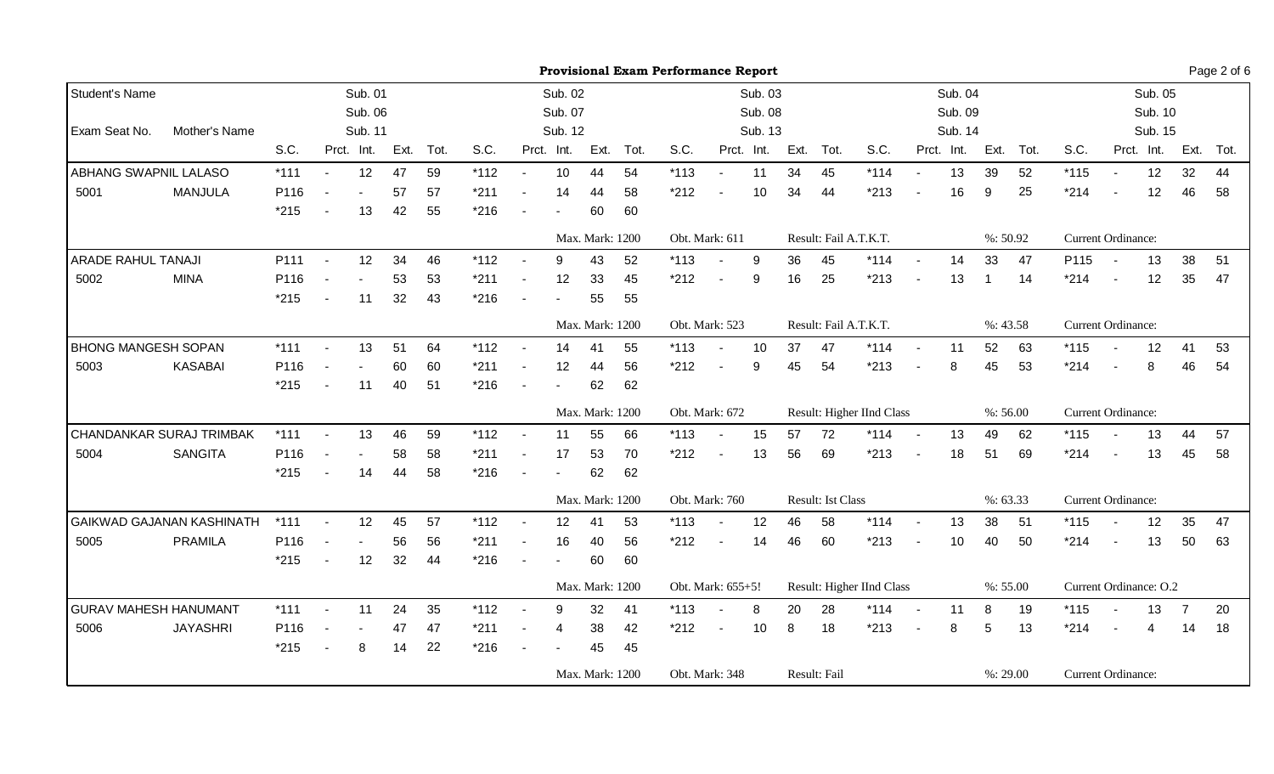|                              |                                  | <b>Provisional Exam Performance Report</b><br>Sub. 01<br>Sub. 02<br>Sub. 04<br>Sub. 03 |                          |                |      |      |        |                          |                 |                 |           |                |                          |            |      |                          |                           |            |            | Page 2 of 6 |           |                           |                          |            |                |      |
|------------------------------|----------------------------------|----------------------------------------------------------------------------------------|--------------------------|----------------|------|------|--------|--------------------------|-----------------|-----------------|-----------|----------------|--------------------------|------------|------|--------------------------|---------------------------|------------|------------|-------------|-----------|---------------------------|--------------------------|------------|----------------|------|
| Student's Name               |                                  |                                                                                        |                          |                |      |      |        |                          |                 |                 |           |                |                          |            |      |                          |                           |            |            |             |           |                           |                          | Sub. 05    |                |      |
|                              |                                  |                                                                                        |                          | Sub. 06        |      |      |        |                          | Sub. 07         |                 |           |                |                          | Sub. 08    |      |                          |                           |            | Sub. 09    |             |           |                           |                          | Sub. 10    |                |      |
| Exam Seat No.                | Mother's Name                    |                                                                                        |                          | Sub. 11        |      |      |        |                          | Sub. 12         |                 |           |                |                          | Sub. 13    |      |                          |                           |            | Sub. 14    |             |           |                           |                          | Sub. 15    |                |      |
|                              |                                  | S.C.                                                                                   |                          | Prct. Int.     | Ext. | Tot. | S.C.   |                          | Prct. Int.      |                 | Ext. Tot. | S.C.           |                          | Prct. Int. | Ext. | Tot.                     | S.C.                      |            | Prct. Int. |             | Ext. Tot. | S.C.                      |                          | Prct. Int. | Ext.           | Tot. |
| ABHANG SWAPNIL LALASO        |                                  | $*111$                                                                                 | $\sim$                   | 12             | 47   | 59   | $*112$ | $\sim$                   | 10              | 44              | 54        | $*113$         | $\overline{a}$           | 11         | 34   | 45                       | $*114$                    | $\sim$     | 13         | 39          | 52        | $*115$                    | $\sim$                   | 12         | 32             | 44   |
| 5001                         | <b>MANJULA</b>                   | P116                                                                                   |                          |                | 57   | 57   | $*211$ | $\blacksquare$           | 14              | 44              | 58        | $*212$         |                          | 10         | 34   | 44                       | $*213$                    |            | 16         | 9           | 25        | $*214$                    |                          | 12         | 46             | 58   |
|                              |                                  | $*215$                                                                                 |                          | 13             | 42   | 55   | $*216$ |                          |                 | 60              | 60        |                |                          |            |      |                          |                           |            |            |             |           |                           |                          |            |                |      |
|                              |                                  |                                                                                        |                          |                |      |      |        |                          |                 | Max. Mark: 1200 |           | Obt. Mark: 611 |                          |            |      |                          | Result: Fail A.T.K.T.     |            |            |             | %:50.92   | <b>Current Ordinance:</b> |                          |            |                |      |
| ARADE RAHUL TANAJI           |                                  | P111                                                                                   |                          | 12             | 34   | 46   | $*112$ |                          | 9               | 43              | 52        | $*113$         |                          | 9          | 36   | 45                       | $*114$                    | $\sim$     | 14         | 33          | 47        | P115                      |                          | 13         | 38             | 51   |
| 5002                         | <b>MINA</b>                      | P116                                                                                   |                          |                | 53   | 53   | $*211$ | $\blacksquare$           | 12              | 33              | 45        | $*212$         | $\blacksquare$           | 9          | 16   | 25                       | $*213$                    | $\sim$     | 13         | -1          | 14        | $*214$                    | $\sim$                   | 12         | 35             | 47   |
|                              |                                  | $*215$                                                                                 |                          | 11             | 32   | 43   | $*216$ |                          |                 | 55              | 55        |                |                          |            |      |                          |                           |            |            |             |           |                           |                          |            |                |      |
|                              |                                  |                                                                                        |                          |                |      |      |        |                          |                 | Max. Mark: 1200 |           | Obt. Mark: 523 |                          |            |      |                          | Result: Fail A.T.K.T.     |            |            |             | %: 43.58  | Current Ordinance:        |                          |            |                |      |
| <b>BHONG MANGESH SOPAN</b>   |                                  | $*111$                                                                                 | $\sim$                   | 13             | 51   | 64   | $*112$ | $\sim$                   | 14              | 41              | 55        | $*113$         | $\blacksquare$           | 10         | 37   | 47                       | $*114$                    | $\sim$     | 11         | 52          | 63        | $*115$                    | $\overline{\phantom{a}}$ | 12         | 41             | 53   |
| 5003                         | <b>KASABAI</b>                   | P116                                                                                   | $\blacksquare$           | $\overline{a}$ | 60   | 60   | $*211$ | $\blacksquare$           | 12              | 44              | 56        | $*212$         | $\blacksquare$           | 9          | 45   | 54                       | $*213$                    |            | 8          | 45          | 53        | $*214$                    |                          | 8          | 46             | 54   |
|                              |                                  | $*215$                                                                                 |                          | 11             | 40   | 51   | $*216$ | $\overline{\phantom{a}}$ |                 | 62              | 62        |                |                          |            |      |                          |                           |            |            |             |           |                           |                          |            |                |      |
|                              |                                  |                                                                                        |                          |                |      |      |        |                          |                 | Max. Mark: 1200 |           | Obt. Mark: 672 |                          |            |      |                          | Result: Higher IInd Class |            |            |             | %:56.00   | <b>Current Ordinance:</b> |                          |            |                |      |
| CHANDANKAR SURAJ TRIMBAK     |                                  | $*111$                                                                                 |                          | 13             | 46   | 59   | $*112$ |                          | 11              | 55              | 66        | $*113$         | $\blacksquare$           | 15         | 57   | 72                       | $*114$                    | $\sim$     | 13         | 49          | 62        | $*115$                    |                          | 13         | 44             | 57   |
| 5004                         | <b>SANGITA</b>                   | P116                                                                                   |                          |                | 58   | 58   | $*211$ |                          | 17              | 53              | 70        | $*212$         | $\blacksquare$           | 13         | 56   | 69                       | $*213$                    |            | 18         | 51          | 69        | $*214$                    | $\blacksquare$           | 13         | 45             | 58   |
|                              |                                  | $*215$                                                                                 | $\overline{\phantom{a}}$ | 14             | 44   | 58   | $*216$ | $\blacksquare$           |                 | 62              | 62        |                |                          |            |      |                          |                           |            |            |             |           |                           |                          |            |                |      |
|                              |                                  |                                                                                        |                          |                |      |      |        |                          |                 | Max. Mark: 1200 |           | Obt. Mark: 760 |                          |            |      | <b>Result: Ist Class</b> |                           |            |            |             | %: 63.33  | Current Ordinance:        |                          |            |                |      |
|                              | <b>GAIKWAD GAJANAN KASHINATH</b> | $*111$                                                                                 | $\blacksquare$           | 12             | 45   | 57   | $*112$ | $\blacksquare$           | 12              | 41              | 53        | $*113$         | $\blacksquare$           | 12         | 46   | 58                       | $*114$                    | $\sim$     | 13         | 38          | 51        | $*115$                    | $\blacksquare$           | 12         | 35             | 47   |
| 5005                         | <b>PRAMILA</b>                   | P116                                                                                   |                          | $\blacksquare$ | 56   | 56   | $*211$ | $\blacksquare$           | 16              | 40              | 56        | $*212$         | $\overline{\phantom{a}}$ | 14         | 46   | 60                       | $*213$                    |            | 10         | 40          | 50        | $*214$                    | $\sim$                   | 13         | 50             | 63   |
|                              |                                  | $*215$                                                                                 |                          | 12             | 32   | 44   | $*216$ | $\blacksquare$           |                 | 60              | 60        |                |                          |            |      |                          |                           |            |            |             |           |                           |                          |            |                |      |
|                              |                                  |                                                                                        |                          |                |      |      |        |                          |                 | Max. Mark: 1200 |           |                | Obt. Mark: 655+5!        |            |      |                          | Result: Higher IInd Class |            |            |             | %: 55.00  | Current Ordinance: O.2    |                          |            |                |      |
| <b>GURAV MAHESH HANUMANT</b> |                                  | $*111$                                                                                 | $\blacksquare$           | 11             | 24   | 35   | $*112$ | $\sim$                   | 9               | 32              | 41        | $*113$         |                          | 8          | 20   | 28                       | $*114$                    | $\sim$ $-$ | 11         | 8           | 19        | $*115$                    |                          | 13         | $\overline{7}$ | 20   |
| 5006                         | <b>JAYASHRI</b>                  | P116                                                                                   |                          |                | 47   | 47   | $*211$ | $\blacksquare$           | $\overline{4}$  | 38              | 42        | $*212$         | $\overline{\phantom{a}}$ | 10         | 8    | 18                       | $*213$                    |            | 8          | 5           | 13        | $*214$                    |                          | 4          | 14             | 18   |
|                              |                                  | $*215$                                                                                 | $\blacksquare$           | 8              | 14   | 22   | $*216$ | $\blacksquare$           |                 | 45              | 45        |                |                          |            |      |                          |                           |            |            |             |           |                           |                          |            |                |      |
|                              |                                  |                                                                                        |                          |                |      |      |        |                          | Max. Mark: 1200 |                 |           | Obt. Mark: 348 |                          |            |      | Result: Fail             |                           |            |            |             | %: 29.00  | Current Ordinance:        |                          |            |                |      |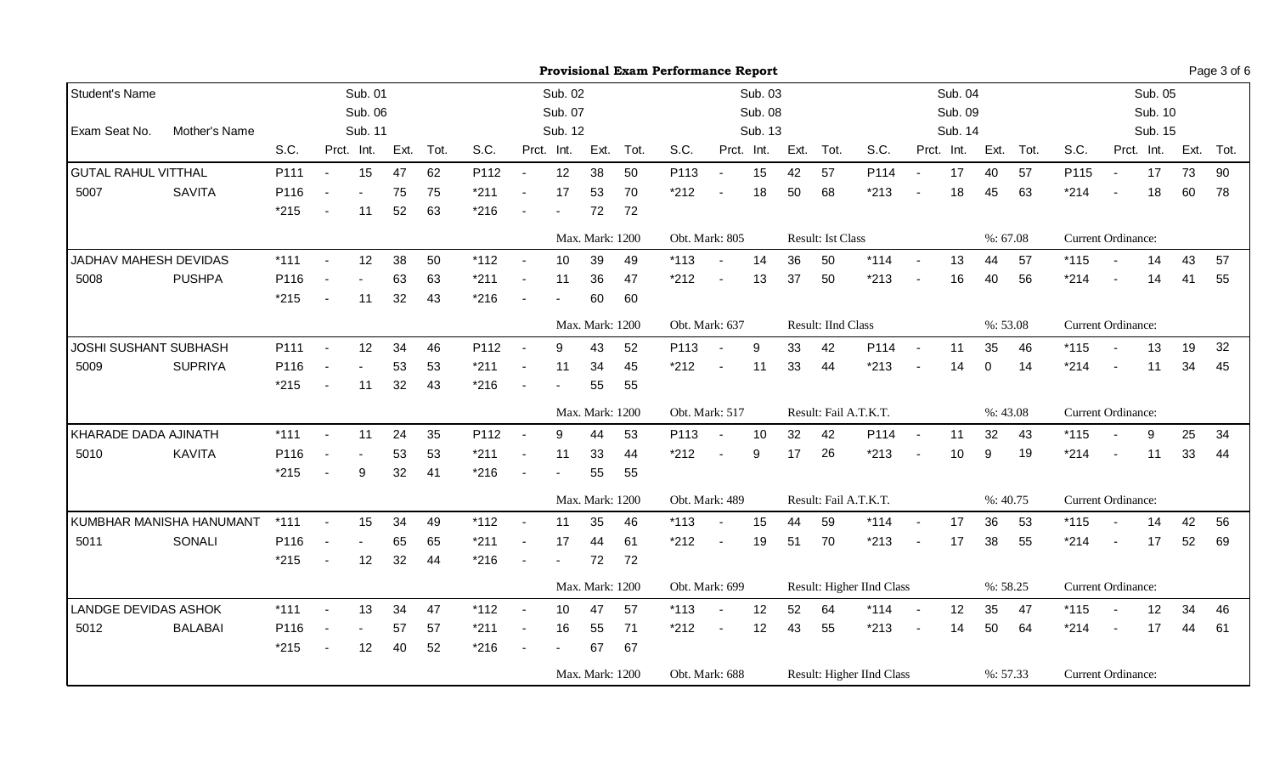|                              | <b>Provisional Exam Performance Report</b><br>Sub. 04<br>Sub. 01<br>Sub. 02<br>Sub. 03 |                                                                                                                                                                                      |                          |            |                    |                 |                          |        |            |                    |                                                                                                          |                          |    |                                                                                                                        |                    |        |                                                                                                  |                                                        | Page 3 of 6 |                    |                                                                             |                          |    |                                                                                                                                                                            |                               |
|------------------------------|----------------------------------------------------------------------------------------|--------------------------------------------------------------------------------------------------------------------------------------------------------------------------------------|--------------------------|------------|--------------------|-----------------|--------------------------|--------|------------|--------------------|----------------------------------------------------------------------------------------------------------|--------------------------|----|------------------------------------------------------------------------------------------------------------------------|--------------------|--------|--------------------------------------------------------------------------------------------------|--------------------------------------------------------|-------------|--------------------|-----------------------------------------------------------------------------|--------------------------|----|----------------------------------------------------------------------------------------------------------------------------------------------------------------------------|-------------------------------|
|                              |                                                                                        |                                                                                                                                                                                      |                          |            |                    |                 |                          |        |            |                    |                                                                                                          |                          |    |                                                                                                                        |                    |        |                                                                                                  |                                                        |             |                    |                                                                             |                          |    |                                                                                                                                                                            |                               |
|                              |                                                                                        |                                                                                                                                                                                      |                          |            |                    |                 |                          |        |            |                    |                                                                                                          |                          |    |                                                                                                                        |                    |        |                                                                                                  |                                                        |             |                    |                                                                             |                          |    |                                                                                                                                                                            |                               |
|                              |                                                                                        |                                                                                                                                                                                      |                          |            |                    |                 |                          |        |            |                    |                                                                                                          |                          |    |                                                                                                                        |                    |        |                                                                                                  |                                                        |             |                    |                                                                             |                          |    |                                                                                                                                                                            |                               |
|                              |                                                                                        |                                                                                                                                                                                      |                          |            | Tot.               | S.C.            |                          |        |            |                    | S.C.                                                                                                     |                          |    |                                                                                                                        | Tot.               | S.C.   |                                                                                                  |                                                        |             | Tot.               | S.C.                                                                        |                          |    |                                                                                                                                                                            | Ext. Tot.                     |
|                              |                                                                                        | $\sim$                                                                                                                                                                               | 15                       | 47         | 62                 | P112            | $\sim$                   | 12     | 38         | 50                 | P113                                                                                                     | $\sim$                   | 15 | 42                                                                                                                     | 57                 | P114   | $\sim$                                                                                           | 17                                                     | 40          | 57                 | P115                                                                        | $\sim$                   | 17 | 73                                                                                                                                                                         | 90                            |
|                              |                                                                                        |                                                                                                                                                                                      |                          | 75         | 75                 | $*211$          | $\overline{\phantom{a}}$ | 17     | 53         | 70                 | $*212$                                                                                                   |                          | 18 | 50                                                                                                                     | 68                 | $*213$ |                                                                                                  | 18                                                     | 45          | 63                 | $*214$                                                                      |                          | 18 | 60                                                                                                                                                                         | 78                            |
|                              |                                                                                        |                                                                                                                                                                                      | 11                       | 52         | 63                 | $*216$          | $\blacksquare$           | $\sim$ | 72         | 72                 |                                                                                                          |                          |    |                                                                                                                        |                    |        |                                                                                                  |                                                        |             |                    |                                                                             |                          |    |                                                                                                                                                                            |                               |
|                              |                                                                                        |                                                                                                                                                                                      |                          |            |                    |                 |                          |        |            |                    |                                                                                                          |                          |    |                                                                                                                        |                    |        |                                                                                                  |                                                        |             |                    |                                                                             |                          |    |                                                                                                                                                                            |                               |
|                              |                                                                                        | $\sim$                                                                                                                                                                               | 12                       | 38         | 50                 | $*112$          | $\sim$                   | 10     | 39         | 49                 | $*113$                                                                                                   |                          | 14 | 36                                                                                                                     | 50                 | $*114$ |                                                                                                  | 13                                                     | 44          | 57                 | $*115$                                                                      |                          | 14 | 43                                                                                                                                                                         | 57                            |
|                              |                                                                                        |                                                                                                                                                                                      |                          | 63         | 63                 | $*211$          | $\blacksquare$           | 11     | 36         | 47                 | $*212$                                                                                                   | $\blacksquare$           | 13 | 37                                                                                                                     | 50                 | $*213$ | $\sim$                                                                                           | 16                                                     | 40          | 56                 | $*214$                                                                      | $\blacksquare$           | 14 | 41                                                                                                                                                                         | 55                            |
|                              |                                                                                        |                                                                                                                                                                                      | 11                       | 32         | 43                 | $*216$          |                          |        | 60         | 60                 |                                                                                                          |                          |    |                                                                                                                        |                    |        |                                                                                                  |                                                        |             |                    |                                                                             |                          |    |                                                                                                                                                                            |                               |
| <b>JOSHI SUSHANT SUBHASH</b> |                                                                                        |                                                                                                                                                                                      |                          |            |                    |                 |                          |        |            |                    |                                                                                                          |                          |    |                                                                                                                        |                    |        |                                                                                                  |                                                        |             |                    |                                                                             |                          |    |                                                                                                                                                                            |                               |
|                              |                                                                                        | $\sim$                                                                                                                                                                               | 12                       | 34         | 46                 | P112            | $\overline{a}$           | 9      | 43         | 52                 | P113                                                                                                     | $\overline{\phantom{a}}$ | 9  | 33                                                                                                                     | 42                 | P114   | $\sim$                                                                                           | 11                                                     | 35          | 46                 | $*115$                                                                      | $\overline{\phantom{a}}$ | 13 | 19                                                                                                                                                                         | 32                            |
|                              |                                                                                        | $\overline{\phantom{a}}$                                                                                                                                                             | $\overline{\phantom{a}}$ | 53         | 53                 | $*211$          | $\blacksquare$           | 11     | 34         | 45                 | $*212$                                                                                                   | $\sim$                   | 11 | 33                                                                                                                     | 44                 | $*213$ |                                                                                                  | 14                                                     | $\mathbf 0$ | 14                 | $*214$                                                                      | $\overline{\phantom{a}}$ | 11 | 34                                                                                                                                                                         | 45                            |
|                              |                                                                                        | $\blacksquare$                                                                                                                                                                       | 11                       | 32         | 43                 | $*216$          | $\blacksquare$           |        | 55         | 55                 |                                                                                                          |                          |    |                                                                                                                        |                    |        |                                                                                                  |                                                        |             |                    |                                                                             |                          |    |                                                                                                                                                                            |                               |
|                              |                                                                                        |                                                                                                                                                                                      |                          |            |                    |                 |                          |        |            |                    |                                                                                                          |                          |    |                                                                                                                        |                    |        |                                                                                                  |                                                        |             |                    |                                                                             |                          |    |                                                                                                                                                                            |                               |
|                              |                                                                                        | $\blacksquare$                                                                                                                                                                       | 11                       | 24         | 35                 | P112            | $\overline{\phantom{a}}$ | 9      | 44         | 53                 | P113                                                                                                     | $\blacksquare$           | 10 | 32                                                                                                                     | 42                 | P114   | $\overline{a}$                                                                                   | 11                                                     | 32          | 43                 | $*115$                                                                      |                          | 9  | 25                                                                                                                                                                         | 34                            |
|                              |                                                                                        |                                                                                                                                                                                      |                          | 53         | 53                 | $*211$          |                          | 11     | 33         | 44                 | $*212$                                                                                                   | $\overline{\phantom{a}}$ | 9  | 17                                                                                                                     | 26                 | $*213$ |                                                                                                  | 10                                                     | 9           | 19                 | $*214$                                                                      | $\blacksquare$           | 11 | 33                                                                                                                                                                         | 44                            |
|                              |                                                                                        |                                                                                                                                                                                      | 9                        | 32         | 41                 | $*216$          | $\sim$                   |        | 55         | 55                 |                                                                                                          |                          |    |                                                                                                                        |                    |        |                                                                                                  |                                                        |             |                    |                                                                             |                          |    |                                                                                                                                                                            |                               |
|                              |                                                                                        |                                                                                                                                                                                      |                          |            |                    |                 |                          |        |            |                    |                                                                                                          |                          |    |                                                                                                                        |                    |        |                                                                                                  |                                                        |             |                    |                                                                             |                          |    |                                                                                                                                                                            |                               |
|                              |                                                                                        | $\blacksquare$                                                                                                                                                                       | 15                       | 34         | 49                 | $*112$          | $\blacksquare$           | 11     | 35         | 46                 | $*113$                                                                                                   | $\blacksquare$           | 15 | 44                                                                                                                     | 59                 | $*114$ | $\sim$                                                                                           | 17                                                     | 36          | 53                 | $*115$                                                                      |                          | 14 | 42                                                                                                                                                                         | 56                            |
|                              |                                                                                        |                                                                                                                                                                                      | $\overline{\phantom{a}}$ | 65         | 65                 | $*211$          | $\blacksquare$           | 17     | 44         | 61                 | $*212$                                                                                                   | $\blacksquare$           | 19 | 51                                                                                                                     | 70                 | $*213$ |                                                                                                  | 17                                                     | 38          | 55                 | $*214$                                                                      | $\sim$                   | 17 | 52                                                                                                                                                                         | 69                            |
|                              |                                                                                        | $\sim$                                                                                                                                                                               | 12                       | 32         | 44                 | $*216$          | $\blacksquare$           |        | 72         | 72                 |                                                                                                          |                          |    |                                                                                                                        |                    |        |                                                                                                  |                                                        |             |                    |                                                                             |                          |    |                                                                                                                                                                            |                               |
|                              |                                                                                        |                                                                                                                                                                                      |                          |            |                    |                 |                          |        |            |                    |                                                                                                          |                          |    |                                                                                                                        |                    |        |                                                                                                  |                                                        |             |                    |                                                                             |                          |    |                                                                                                                                                                            |                               |
|                              |                                                                                        | $\blacksquare$                                                                                                                                                                       | 13                       | 34         | 47                 | $*112$          |                          | 10     | 47         | 57                 | $*113$                                                                                                   | $\sim$                   | 12 | 52                                                                                                                     | 64                 | $*114$ | $\sim$                                                                                           | 12                                                     | 35          | 47                 | $*115$                                                                      |                          | 12 | 34                                                                                                                                                                         | 46                            |
|                              |                                                                                        |                                                                                                                                                                                      |                          | 57         | 57                 | $*211$          | $\overline{\phantom{a}}$ | 16     | 55         | 71                 | $*212$                                                                                                   | $\blacksquare$           | 12 | 43                                                                                                                     | 55                 | $*213$ |                                                                                                  | 14                                                     | 50          | 64                 | $*214$                                                                      | $\blacksquare$           | 17 | 44                                                                                                                                                                         | 61                            |
|                              |                                                                                        | $\blacksquare$                                                                                                                                                                       | 12                       | 40         | 52                 | $*216$          | $\blacksquare$           |        | 67         | 67                 |                                                                                                          |                          |    |                                                                                                                        |                    |        |                                                                                                  |                                                        |             |                    |                                                                             |                          |    |                                                                                                                                                                            |                               |
|                              |                                                                                        |                                                                                                                                                                                      |                          |            |                    | Max. Mark: 1200 |                          |        |            |                    |                                                                                                          |                          |    |                                                                                                                        |                    |        |                                                                                                  |                                                        |             |                    |                                                                             |                          |    |                                                                                                                                                                            |                               |
|                              | Mother's Name<br>KUMBHAR MANISHA HANUMANT                                              | S.C.<br>P111<br>P116<br>$*215$<br>$*111$<br>P116<br>$*215$<br>P <sub>111</sub><br>P116<br>$*215$<br>$*111$<br>P116<br>$*215$<br>$*111$<br>P116<br>$*215$<br>$*111$<br>P116<br>$*215$ |                          | Prct. Int. | Sub. 06<br>Sub. 11 | Ext.            |                          |        | Prct. Int. | Sub. 07<br>Sub. 12 | Ext. Tot.<br>Max. Mark: 1200<br>Max. Mark: 1200<br>Max. Mark: 1200<br>Max. Mark: 1200<br>Max. Mark: 1200 |                          |    | Prct. Int.<br>Obt. Mark: 805<br>Obt. Mark: 637<br>Obt. Mark: 517<br>Obt. Mark: 489<br>Obt. Mark: 699<br>Obt. Mark: 688 | Sub. 08<br>Sub. 13 | Ext.   | <b>Result: Ist Class</b><br>Result: IInd Class<br>Result: Fail A.T.K.T.<br>Result: Fail A.T.K.T. | Result: Higher IInd Class<br>Result: Higher IInd Class | Prct. Int.  | Sub. 09<br>Sub. 14 | Ext.<br>%: 67.08<br>%: 53.08<br>%: 43.08<br>%: 40.75<br>%:58.25<br>%: 57.33 |                          |    | Prct. Int.<br><b>Current Ordinance:</b><br>Current Ordinance:<br><b>Current Ordinance:</b><br><b>Current Ordinance:</b><br><b>Current Ordinance:</b><br>Current Ordinance: | Sub. 05<br>Sub. 10<br>Sub. 15 |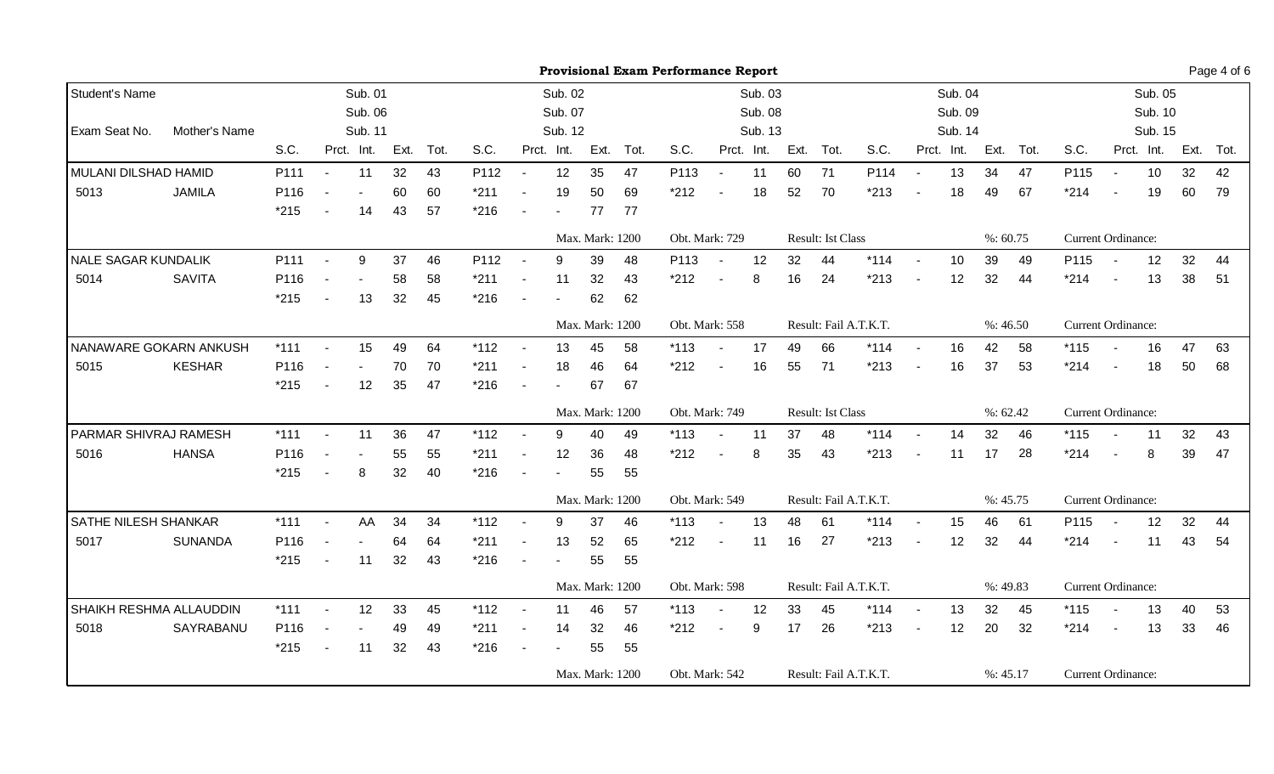|                            |                         |        | <b>Provisional Exam Performance Report</b><br>Sub. 04<br>Sub. 01<br>Sub. 02<br>Sub. 03 |            |      |                |        |                          |                 |                 |                       |                |                          |            |         |                           |                       |        |            |      | Page 4 of 6 |                           |                          |            |      |      |
|----------------------------|-------------------------|--------|----------------------------------------------------------------------------------------|------------|------|----------------|--------|--------------------------|-----------------|-----------------|-----------------------|----------------|--------------------------|------------|---------|---------------------------|-----------------------|--------|------------|------|-------------|---------------------------|--------------------------|------------|------|------|
| Student's Name             |                         |        |                                                                                        |            |      |                |        |                          |                 |                 |                       |                |                          |            |         |                           |                       |        |            |      |             |                           |                          | Sub. 05    |      |      |
|                            |                         |        |                                                                                        | Sub. 06    |      |                |        |                          | Sub. 07         |                 |                       |                |                          | Sub. 08    |         |                           |                       |        | Sub. 09    |      |             |                           |                          | Sub. 10    |      |      |
| Exam Seat No.              | Mother's Name           |        |                                                                                        | Sub. 11    |      |                |        |                          | Sub. 12         |                 |                       |                |                          | Sub. 13    |         |                           |                       |        | Sub. 14    |      |             |                           |                          | Sub. 15    |      |      |
|                            |                         | S.C.   |                                                                                        | Prct. Int. | Ext. | Tot.           | S.C.   |                          | Prct. Int.      |                 | Ext. Tot.             | S.C.           |                          | Prct. Int. | Ext.    | Tot.                      | S.C.                  |        | Prct. Int. | Ext. | Tot.        | S.C.                      |                          | Prct. Int. | Ext. | Tot. |
| MULANI DILSHAD HAMID       |                         | P111   | $\sim$                                                                                 | 11         | 32   | 43             | P112   | $\sim$                   | 12              | 35              | 47                    | P113           | $\blacksquare$           | 11         | 60      | 71                        | P114                  |        | 13         | 34   | 47          | P115                      | $\sim$                   | 10         | 32   | 42   |
| 5013                       | <b>JAMILA</b>           | P116   |                                                                                        |            | 60   | 60             | $*211$ |                          | 19              | 50              | 69                    | $*212$         |                          | 18         | 52      | 70                        | $*213$                |        | 18         | 49   | 67          | $*214$                    |                          | 19         | 60   | 79   |
|                            |                         | $*215$ |                                                                                        | 14         | 43   | 57             | $*216$ |                          | $\blacksquare$  | 77              | 77                    |                |                          |            |         |                           |                       |        |            |      |             |                           |                          |            |      |      |
|                            |                         |        |                                                                                        |            |      |                |        |                          |                 | Max. Mark: 1200 |                       | Obt. Mark: 729 |                          |            |         | <b>Result: Ist Class</b>  |                       |        |            |      | %: 60.75    | <b>Current Ordinance:</b> |                          |            |      |      |
| <b>NALE SAGAR KUNDALIK</b> |                         | P111   |                                                                                        | 9          | 37   | 46             | P112   |                          | 9               | 39              | 48                    | P113           | $\sim$                   | 12         | 32      | 44                        | $*114$                |        | 10         | 39   | 49          | P115                      |                          | 12         | 32   | 44   |
| 5014                       | <b>SAVITA</b>           | P116   |                                                                                        |            | 58   | 58             | $*211$ | $\blacksquare$           | 11              | 32              | 43                    | $*212$         | $\blacksquare$           | 8          | 16      | 24                        | $*213$                | $\sim$ | 12         | 32   | 44          | $*214$                    | $\blacksquare$           | 13         | 38   | 51   |
|                            |                         | $*215$ |                                                                                        | 13         | 32   | 45             | $*216$ |                          |                 | 62              | 62                    |                |                          |            |         |                           |                       |        |            |      |             |                           |                          |            |      |      |
|                            |                         |        |                                                                                        |            |      |                |        |                          |                 | Max. Mark: 1200 |                       | Obt. Mark: 558 |                          |            |         |                           | Result: Fail A.T.K.T. |        |            |      | %:46.50     | Current Ordinance:        |                          |            |      |      |
|                            | NANAWARE GOKARN ANKUSH  | $*111$ | $\sim$                                                                                 | 15         | 49   | 64             | $*112$ | $\overline{\phantom{a}}$ | 13              | 45              | 58                    | $*113$         | $\blacksquare$           | 17         | 49      | 66                        | $*114$                | $\sim$ | 16         | 42   | 58          | $*115$                    | $\overline{\phantom{a}}$ | 16         | 47   | 63   |
| 5015                       | <b>KESHAR</b>           | P116   |                                                                                        |            | 70   | 70             | $*211$ | $\overline{\phantom{a}}$ | 18              | 46              | 64                    | $*212$         | $\blacksquare$           | 16         | 55      | 71                        | $*213$                |        | 16         | 37   | 53          | $*214$                    |                          | 18         | 50   | 68   |
|                            |                         | $*215$ |                                                                                        | 12         | 35   | 47             | $*216$ |                          | $\blacksquare$  | 67              | 67                    |                |                          |            |         |                           |                       |        |            |      |             |                           |                          |            |      |      |
|                            |                         |        |                                                                                        |            |      |                |        |                          |                 | Max. Mark: 1200 |                       | Obt. Mark: 749 |                          |            |         | <b>Result: Ist Class</b>  |                       |        |            |      | %:62.42     | <b>Current Ordinance:</b> |                          |            |      |      |
| PARMAR SHIVRAJ RAMESH      |                         | $*111$ |                                                                                        | 11         | 36   | 47             | $*112$ |                          | 9               | 40              | 49                    | $*113$         | $\overline{\phantom{a}}$ | 11         | 37      | 48                        | $*114$                |        | 14         | 32   | 46          | $*115$                    |                          | 11         | 32   | 43   |
| 5016                       | <b>HANSA</b>            | P116   |                                                                                        |            | 55   | 55             | $*211$ |                          | 12              | 36              | 48                    | $*212$         | $\blacksquare$           | 8          | 35      | 43                        | $*213$                | $\sim$ | 11         | 17   | 28          | $*214$                    | $\sim$                   | 8          | 39   | 47   |
|                            |                         | $*215$ |                                                                                        | 8          | 32   | 40             | $*216$ |                          |                 | 55              | 55                    |                |                          |            |         |                           |                       |        |            |      |             |                           |                          |            |      |      |
|                            |                         |        |                                                                                        |            |      |                |        |                          |                 | Max. Mark: 1200 |                       | Obt. Mark: 549 |                          |            |         |                           | Result: Fail A.T.K.T. |        |            |      | %: 45.75    | <b>Current Ordinance:</b> |                          |            |      |      |
| SATHE NILESH SHANKAR       |                         | $*111$ | $\overline{\phantom{a}}$                                                               | AA         | 34   | 34             | $*112$ | $\overline{\phantom{a}}$ | 9               | 37              | 46                    | $*113$         | $\blacksquare$           | 13         | 48      | 61                        | $*114$                | $\sim$ | 15         | 46   | 61          | P115                      | $\sim$                   | 12         | 32   | 44   |
| 5017                       | <b>SUNANDA</b>          | P116   |                                                                                        |            | 64   | 64             | $*211$ |                          | 13              | 52              | 65                    | $*212$         | $\blacksquare$           | 11         | 16      | 27                        | $*213$                |        | 12         | 32   | 44          | $*214$                    |                          | 11         | 43   | 54   |
|                            |                         | $*215$ |                                                                                        | 11         | 32   | 43             | $*216$ |                          |                 | 55              | 55                    |                |                          |            |         |                           |                       |        |            |      |             |                           |                          |            |      |      |
|                            | Max. Mark: 1200         |        |                                                                                        |            |      | Obt. Mark: 598 |        |                          |                 |                 | Result: Fail A.T.K.T. |                |                          |            | %:49.83 | <b>Current Ordinance:</b> |                       |        |            |      |             |                           |                          |            |      |      |
|                            | SHAIKH RESHMA ALLAUDDIN | $*111$ | $\blacksquare$                                                                         | 12         | 33   | 45             | $*112$ |                          | 11              | 46              | 57                    | $*113$         | $\blacksquare$           | 12         | 33      | 45                        | $*114$                |        | 13         | 32   | 45          | $*115$                    |                          | 13         | 40   | 53   |
| 5018                       | SAYRABANU               | P116   |                                                                                        |            | 49   | 49             | $*211$ |                          | 14              | 32              | 46                    | $*212$         | $\blacksquare$           | 9          | 17      | 26                        | $*213$                |        | 12         | 20   | 32          | $*214$                    |                          | 13         | 33   | 46   |
|                            |                         | $*215$ |                                                                                        | 11         | 32   | 43             | $*216$ |                          |                 | 55              | 55                    |                |                          |            |         |                           |                       |        |            |      |             |                           |                          |            |      |      |
|                            |                         |        |                                                                                        |            |      |                |        |                          | Max. Mark: 1200 |                 |                       |                | Obt. Mark: 542           |            |         |                           | Result: Fail A.T.K.T. |        |            |      | %: 45.17    | Current Ordinance:        |                          |            |      |      |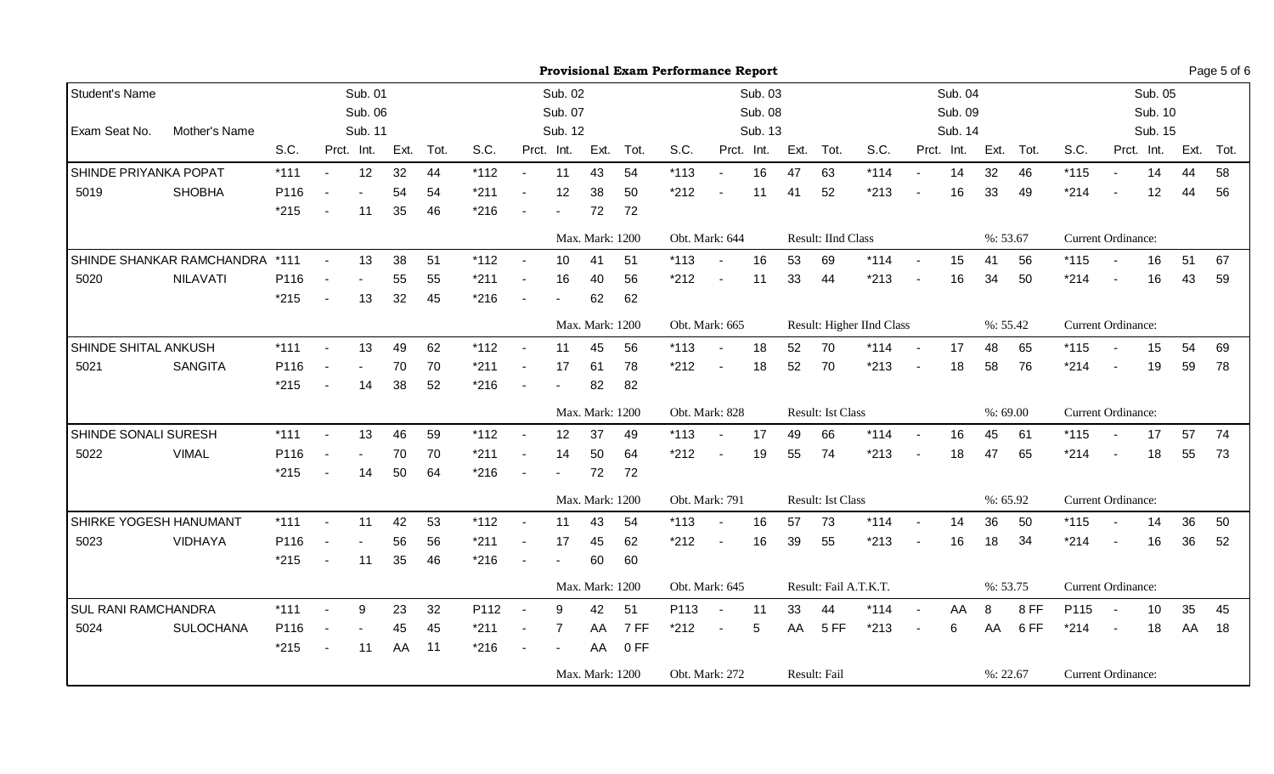|                       |                                | <b>Provisional Exam Performance Report</b><br>Sub. 04<br>Sub. 01<br>Sub. 02<br>Sub. 03 |                          |            |                 |      |        |                          |                |                 |      |                |                          |            |                       |                           |                           |        |            | Page 5 of 6               |          |                           |                |                 |      |      |
|-----------------------|--------------------------------|----------------------------------------------------------------------------------------|--------------------------|------------|-----------------|------|--------|--------------------------|----------------|-----------------|------|----------------|--------------------------|------------|-----------------------|---------------------------|---------------------------|--------|------------|---------------------------|----------|---------------------------|----------------|-----------------|------|------|
| Student's Name        |                                |                                                                                        |                          |            |                 |      |        |                          |                |                 |      |                |                          |            |                       |                           |                           |        |            |                           |          |                           |                | Sub. 05         |      |      |
|                       |                                |                                                                                        |                          | Sub. 06    |                 |      |        |                          | Sub. 07        |                 |      |                |                          | Sub. 08    |                       |                           |                           |        | Sub. 09    |                           |          |                           |                | Sub. 10         |      |      |
| Exam Seat No.         | Mother's Name                  |                                                                                        |                          | Sub. 11    |                 |      |        |                          | Sub. 12        |                 |      |                |                          | Sub. 13    |                       |                           |                           |        | Sub. 14    |                           |          |                           |                | Sub. 15         |      |      |
|                       |                                | S.C.                                                                                   |                          | Prct. Int. | Ext.            | Tot. | S.C.   |                          | Prct. Int.     | Ext.            | Tot. | S.C.           |                          | Prct. Int. | Ext.                  | Tot.                      | S.C.                      |        | Prct. Int. | Ext.                      | Tot.     | S.C.                      |                | Prct. Int.      | Ext. | Tot. |
| SHINDE PRIYANKA POPAT |                                | $*111$                                                                                 | $\blacksquare$           | 12         | 32              | 44   | $*112$ | $\sim$                   | 11             | 43              | 54   | $*113$         | $\sim$                   | 16         | 47                    | 63                        | $*114$                    |        | 14         | 32                        | 46       | $*115$                    |                | 14              | 44   | 58   |
| 5019                  | <b>SHOBHA</b>                  | P116                                                                                   |                          |            | 54              | 54   | $*211$ |                          | 12             | 38              | 50   | $*212$         | $\blacksquare$           | 11         | 41                    | 52                        | $*213$                    |        | 16         | 33                        | 49       | $*214$                    |                | 12              | 44   | 56   |
|                       |                                | $*215$                                                                                 |                          | 11         | 35              | 46   | $*216$ |                          | $\blacksquare$ | 72              | 72   |                |                          |            |                       |                           |                           |        |            |                           |          |                           |                |                 |      |      |
|                       |                                |                                                                                        |                          |            |                 |      |        |                          |                | Max. Mark: 1200 |      | Obt. Mark: 644 |                          |            |                       | <b>Result: IInd Class</b> |                           |        |            |                           | %: 53.67 | <b>Current Ordinance:</b> |                |                 |      |      |
|                       | SHINDE SHANKAR RAMCHANDRA *111 |                                                                                        | $\overline{\phantom{a}}$ | 13         | 38              | 51   | $*112$ |                          | 10             | 41              | 51   | $*113$         |                          | 16         | 53                    | 69                        | $*114$                    | $\sim$ | 15         | 41                        | 56       | $*115$                    |                | 16              | 51   | 67   |
| 5020                  | <b>NILAVATI</b>                | P116                                                                                   |                          |            | 55              | 55   | $*211$ |                          | 16             | 40              | 56   | $*212$         | $\blacksquare$           | 11         | 33                    | 44                        | $*213$                    | $\sim$ | 16         | 34                        | 50       | $*214$                    | $\blacksquare$ | 16              | 43   | 59   |
|                       |                                | $*215$                                                                                 |                          | 13         | 32              | 45   | $*216$ |                          |                | 62              | 62   |                |                          |            |                       |                           |                           |        |            |                           |          |                           |                |                 |      |      |
|                       |                                |                                                                                        |                          |            |                 |      |        | Max. Mark: 1200          |                |                 |      |                | Obt. Mark: 665           |            |                       |                           | Result: Higher IInd Class |        |            |                           | %: 55.42 | Current Ordinance:        |                |                 |      |      |
| SHINDE SHITAL ANKUSH  |                                | $*111$                                                                                 | $\overline{\phantom{a}}$ | 13         | 49              | 62   | $*112$ | $\overline{\phantom{a}}$ | 11             | 45              | 56   | $*113$         | $\blacksquare$           | 18         | 52                    | 70                        | $*114$                    | $\sim$ | 17         | 48                        | 65       | $*115$                    |                | 15              | 54   | 69   |
| 5021                  | <b>SANGITA</b>                 | P116                                                                                   |                          |            | 70              | 70   | $*211$ |                          | 17             | 61              | 78   | $*212$         | $\blacksquare$           | 18         | 52                    | 70                        | $*213$                    |        | 18         | 58                        | 76       | $*214$                    |                | 19              | 59   | 78   |
|                       |                                | $*215$                                                                                 |                          | 14         | 38              | 52   | $*216$ |                          |                | 82              | 82   |                |                          |            |                       |                           |                           |        |            |                           |          |                           |                |                 |      |      |
|                       |                                |                                                                                        |                          |            |                 |      |        |                          |                | Max. Mark: 1200 |      | Obt. Mark: 828 |                          |            |                       | <b>Result: Ist Class</b>  |                           |        |            |                           | %:69.00  | <b>Current Ordinance:</b> |                |                 |      |      |
| SHINDE SONALI SURESH  |                                | $*111$                                                                                 |                          | 13         | 46              | 59   | $*112$ |                          | 12             | 37              | 49   | $*113$         | $\overline{\phantom{a}}$ | 17         | 49                    | 66                        | $*114$                    |        | 16         | 45                        | 61       | $*115$                    |                | 17              | 57   | 74   |
| 5022                  | <b>VIMAL</b>                   | P116                                                                                   |                          |            | 70              | 70   | $*211$ |                          | 14             | 50              | 64   | $*212$         | $\blacksquare$           | 19         | 55                    | 74                        | $*213$                    |        | 18         | 47                        | 65       | $*214$                    |                | 18              | 55   | 73   |
|                       |                                | $*215$                                                                                 |                          | 14         | 50              | 64   | $*216$ |                          |                | 72              | 72   |                |                          |            |                       |                           |                           |        |            |                           |          |                           |                |                 |      |      |
|                       |                                |                                                                                        |                          |            |                 |      |        |                          |                | Max. Mark: 1200 |      | Obt. Mark: 791 |                          |            |                       | <b>Result: Ist Class</b>  |                           |        |            |                           | %: 65.92 | Current Ordinance:        |                |                 |      |      |
|                       | SHIRKE YOGESH HANUMANT         | $*111$                                                                                 | $\sim$                   | 11         | 42              | 53   | $*112$ | $\blacksquare$           | 11             | 43              | 54   | $*113$         | $\overline{\phantom{a}}$ | 16         | 57                    | 73                        | $*114$                    | $\sim$ | 14         | 36                        | 50       | $*115$                    |                | 14              | 36   | 50   |
| 5023                  | <b>VIDHAYA</b>                 | P116                                                                                   |                          |            | 56              | 56   | $*211$ |                          | 17             | 45              | 62   | $*212$         | $\blacksquare$           | 16         | 39                    | 55                        | $*213$                    |        | 16         | 18                        | 34       | $*214$                    |                | 16              | 36   | 52   |
|                       |                                | $*215$                                                                                 |                          | 11         | 35              | 46   | $*216$ |                          |                | 60              | 60   |                |                          |            |                       |                           |                           |        |            |                           |          |                           |                |                 |      |      |
|                       |                                |                                                                                        |                          |            | Max. Mark: 1200 |      |        |                          |                | Obt. Mark: 645  |      |                |                          |            | Result: Fail A.T.K.T. |                           |                           |        | %: 53.75   | <b>Current Ordinance:</b> |          |                           |                |                 |      |      |
| SUL RANI RAMCHANDRA   |                                | $*111$                                                                                 |                          | 9          | 23              | 32   | P112   |                          | 9              | 42              | 51   | P113           | $\sim$                   | 11         | 33                    | 44                        | $*114$                    |        | AA         | 8                         | 8 FF     | P115                      |                | 10 <sup>°</sup> | 35   | 45   |
| 5024                  | <b>SULOCHANA</b>               | P116                                                                                   |                          |            | 45              | 45   | $*211$ |                          | $\overline{7}$ | AA              | 7 FF | $*212$         | $\blacksquare$           | 5          | AA                    | 5 FF                      | $*213$                    | $\sim$ | 6          | AA                        | 6FF      | $*214$                    | $\blacksquare$ | 18              | AA   | 18   |
|                       |                                | $*215$                                                                                 | $\overline{\phantom{a}}$ | 11         | AA              | 11   | $*216$ | $\overline{\phantom{a}}$ |                | AA              | 0 FF |                |                          |            |                       |                           |                           |        |            |                           |          |                           |                |                 |      |      |
|                       |                                |                                                                                        |                          |            |                 |      |        |                          |                | Max. Mark: 1200 |      |                | Obt. Mark: 272           |            |                       | Result: Fail              |                           |        |            |                           | %: 22.67 | Current Ordinance:        |                |                 |      |      |